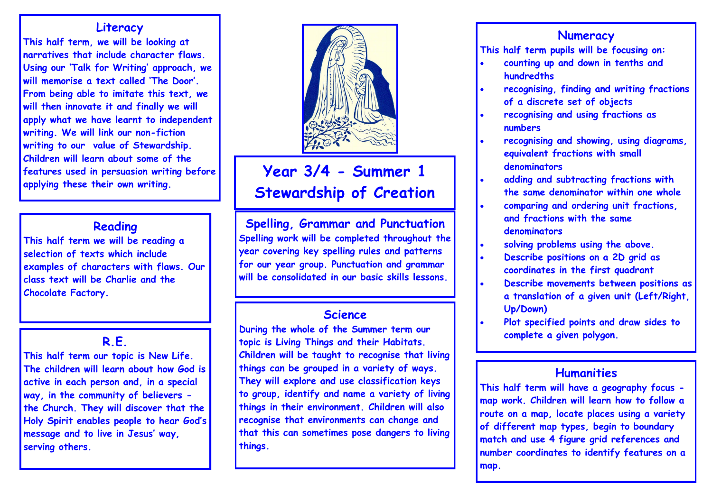### **Literacy**

**This half term, we will be looking at narratives that include character flaws. Using our 'Talk for Writing' approach, we will memorise a text called 'The Door'. From being able to imitate this text, we will then innovate it and finally we will apply what we have learnt to independent writing. We will link our non-fiction writing to our value of Stewardship. Children will learn about some of the features used in persuasion writing before applying these their own writing.**

## **Reading**

**This half term we will be reading a selection of texts which include examples of characters with flaws. Our class text will be Charlie and the Chocolate Factory.**

## **R.E.**

**This half term our topic is New Life. The children will learn about how God is active in each person and, in a special way, in the community of believers the Church. They will discover that the Holy Spirit enables people to hear God's message and to live in Jesus' way, serving others.**



# **Year 3/4 - Summer 1 Stewardship of Creation**

**Spelling, Grammar and Punctuation Spelling work will be completed throughout the year covering key spelling rules and patterns for our year group. Punctuation and grammar will be consolidated in our basic skills lessons.**

## **Science**

**During the whole of the Summer term our topic is Living Things and their Habitats. Children will be taught to recognise that living things can be grouped in a variety of ways. They will explore and use classification keys to group, identify and name a variety of living things in their environment. Children will also recognise that environments can change and that this can sometimes pose dangers to living things.**

## **Numeracy**

**This half term pupils will be focusing on:**

- **counting up and down in tenths and hundredths**
- **recognising, finding and writing fractions of a discrete set of objects**
- **recognising and using fractions as numbers**
- **recognising and showing, using diagrams, equivalent fractions with small denominators**
- **adding and subtracting fractions with the same denominator within one whole**
- **comparing and ordering unit fractions, and fractions with the same denominators**
- **solving problems using the above.**
- **Describe positions on a 2D grid as coordinates in the first quadrant**
- **Describe movements between positions as a translation of a given unit (Left/Right, Up/Down)**
- **Plot specified points and draw sides to complete a given polygon.**

## **Humanities**

**This half term will have a geography focus map work. Children will learn how to follow a route on a map, locate places using a variety of different map types, begin to boundary match and use 4 figure grid references and number coordinates to identify features on a map.**